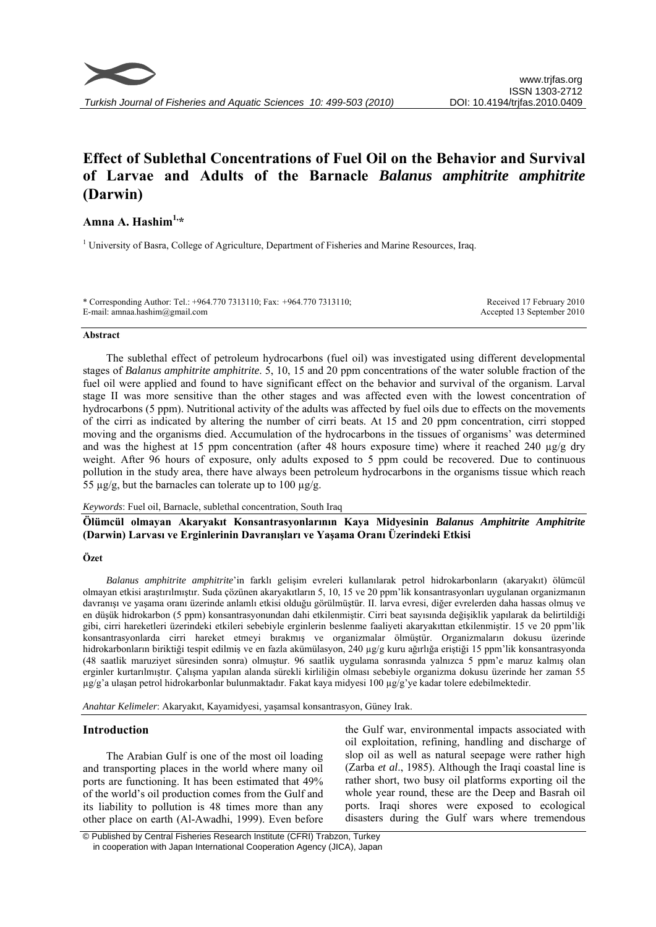

# **Effect of Sublethal Concentrations of Fuel Oil on the Behavior and Survival of Larvae and Adults of the Barnacle** *Balanus amphitrite amphitrite* **(Darwin)**

## **Amna A. Hashim1,\***

<sup>1</sup> University of Basra, College of Agriculture, Department of Fisheries and Marine Resources, Iraq.

\* Corresponding Author: Tel.: +964.770 7313110; Fax: +964.770 7313110; E-mail: amnaa.hashim@gmail.com

Received 17 February 2010 Accepted 13 September 2010

### **Abstract**

The sublethal effect of petroleum hydrocarbons (fuel oil) was investigated using different developmental stages of *Balanus amphitrite amphitrite*. 5, 10, 15 and 20 ppm concentrations of the water soluble fraction of the fuel oil were applied and found to have significant effect on the behavior and survival of the organism. Larval stage II was more sensitive than the other stages and was affected even with the lowest concentration of hydrocarbons (5 ppm). Nutritional activity of the adults was affected by fuel oils due to effects on the movements of the cirri as indicated by altering the number of cirri beats. At 15 and 20 ppm concentration, cirri stopped moving and the organisms died. Accumulation of the hydrocarbons in the tissues of organisms' was determined and was the highest at 15 ppm concentration (after 48 hours exposure time) where it reached 240  $\mu$ g/g dry weight. After 96 hours of exposure, only adults exposed to 5 ppm could be recovered. Due to continuous pollution in the study area, there have always been petroleum hydrocarbons in the organisms tissue which reach 55  $\mu$ g/g, but the barnacles can tolerate up to 100  $\mu$ g/g.

*Keywords*: Fuel oil, Barnacle, sublethal concentration, South Iraq

**Ölümcül olmayan Akaryakıt Konsantrasyonlarının Kaya Midyesinin** *Balanus Amphitrite Amphitrite* **(Darwin) Larvası ve Erginlerinin Davranışları ve Yaşama Oranı Üzerindeki Etkisi** 

### **Özet**

*Balanus amphitrite amphitrite*'in farklı gelişim evreleri kullanılarak petrol hidrokarbonların (akaryakıt) ölümcül olmayan etkisi araştırılmıştır. Suda çözünen akaryakıtların 5, 10, 15 ve 20 ppm'lik konsantrasyonları uygulanan organizmanın davranışı ve yaşama oranı üzerinde anlamlı etkisi olduğu görülmüştür. II. larva evresi, diğer evrelerden daha hassas olmuş ve en düşük hidrokarbon (5 ppm) konsantrasyonundan dahi etkilenmiştir. Cirri beat sayısında değişiklik yapılarak da belirtildiği gibi, cirri hareketleri üzerindeki etkileri sebebiyle erginlerin beslenme faaliyeti akaryakıttan etkilenmiştir. 15 ve 20 ppm'lik konsantrasyonlarda cirri hareket etmeyi bırakmış ve organizmalar ölmüştür. Organizmaların dokusu üzerinde hidrokarbonların biriktiği tespit edilmiş ve en fazla akümülasyon, 240 µg/g kuru ağırlığa eriştiği 15 ppm'lik konsantrasyonda (48 saatlik maruziyet süresinden sonra) olmuştur. 96 saatlik uygulama sonrasında yalnızca 5 ppm'e maruz kalmış olan erginler kurtarılmıştır. Çalışma yapılan alanda sürekli kirliliğin olması sebebiyle organizma dokusu üzerinde her zaman 55 µg/g'a ulaşan petrol hidrokarbonlar bulunmaktadır. Fakat kaya midyesi 100 µg/g'ye kadar tolere edebilmektedir.

*Anahtar Kelimeler*: Akaryakıt, Kayamidyesi, yaşamsal konsantrasyon, Güney Irak.

## **Introduction**

The Arabian Gulf is one of the most oil loading and transporting places in the world where many oil ports are functioning. It has been estimated that 49% of the world's oil production comes from the Gulf and its liability to pollution is 48 times more than any other place on earth (Al-Awadhi, 1999). Even before

the Gulf war, environmental impacts associated with oil exploitation, refining, handling and discharge of slop oil as well as natural seepage were rather high (Zarba *et al*., 1985). Although the Iraqi coastal line is rather short, two busy oil platforms exporting oil the whole year round, these are the Deep and Basrah oil ports. Iraqi shores were exposed to ecological disasters during the Gulf wars where tremendous

 <sup>©</sup> Published by Central Fisheries Research Institute (CFRI) Trabzon, Turkey in cooperation with Japan International Cooperation Agency (JICA), Japan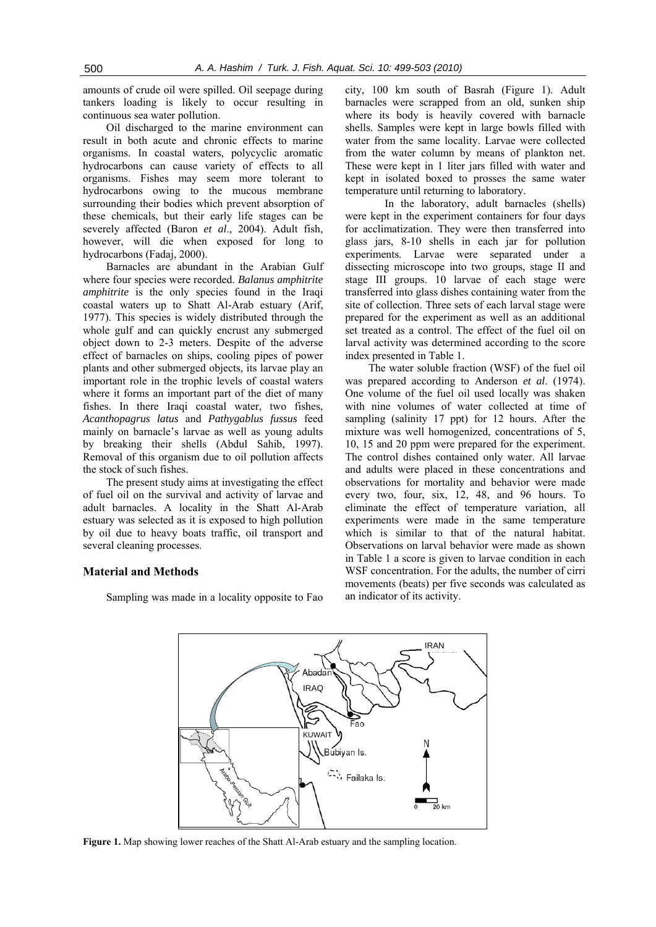amounts of crude oil were spilled. Oil seepage during tankers loading is likely to occur resulting in continuous sea water pollution.

Oil discharged to the marine environment can result in both acute and chronic effects to marine organisms. In coastal waters, polycyclic aromatic hydrocarbons can cause variety of effects to all organisms. Fishes may seem more tolerant to hydrocarbons owing to the mucous membrane surrounding their bodies which prevent absorption of these chemicals, but their early life stages can be severely affected (Baron *et al*., 2004). Adult fish, however, will die when exposed for long to hydrocarbons (Fadaj, 2000).

Barnacles are abundant in the Arabian Gulf where four species were recorded. *Balanus amphitrite amphitrite* is the only species found in the Iraqi coastal waters up to Shatt Al-Arab estuary (Arif, 1977). This species is widely distributed through the whole gulf and can quickly encrust any submerged object down to 2-3 meters. Despite of the adverse effect of barnacles on ships, cooling pipes of power plants and other submerged objects, its larvae play an important role in the trophic levels of coastal waters where it forms an important part of the diet of many fishes. In there Iraqi coastal water, two fishes, *Acanthopagrus latus* and *Pathygablus fussus* feed mainly on barnacle's larvae as well as young adults by breaking their shells (Abdul Sahib, 1997). Removal of this organism due to oil pollution affects the stock of such fishes.

The present study aims at investigating the effect of fuel oil on the survival and activity of larvae and adult barnacles. A locality in the Shatt Al-Arab estuary was selected as it is exposed to high pollution by oil due to heavy boats traffic, oil transport and several cleaning processes.

## **Material and Methods**

Sampling was made in a locality opposite to Fao

city, 100 km south of Basrah (Figure 1). Adult barnacles were scrapped from an old, sunken ship where its body is heavily covered with barnacle shells. Samples were kept in large bowls filled with water from the same locality. Larvae were collected from the water column by means of plankton net. These were kept in 1 liter jars filled with water and kept in isolated boxed to prosses the same water temperature until returning to laboratory.

In the laboratory, adult barnacles (shells) were kept in the experiment containers for four days for acclimatization. They were then transferred into glass jars, 8-10 shells in each jar for pollution experiments. Larvae were separated under a dissecting microscope into two groups, stage II and stage III groups. 10 larvae of each stage were transferred into glass dishes containing water from the site of collection. Three sets of each larval stage were prepared for the experiment as well as an additional set treated as a control. The effect of the fuel oil on larval activity was determined according to the score index presented in Table 1.

The water soluble fraction (WSF) of the fuel oil was prepared according to Anderson *et al*. (1974). One volume of the fuel oil used locally was shaken with nine volumes of water collected at time of sampling (salinity 17 ppt) for 12 hours. After the mixture was well homogenized, concentrations of 5, 10, 15 and 20 ppm were prepared for the experiment. The control dishes contained only water. All larvae and adults were placed in these concentrations and observations for mortality and behavior were made every two, four, six, 12, 48, and 96 hours. To eliminate the effect of temperature variation, all experiments were made in the same temperature which is similar to that of the natural habitat. Observations on larval behavior were made as shown in Table 1 a score is given to larvae condition in each WSF concentration. For the adults, the number of cirri movements (beats) per five seconds was calculated as an indicator of its activity.



**Figure 1.** Map showing lower reaches of the Shatt Al-Arab estuary and the sampling location.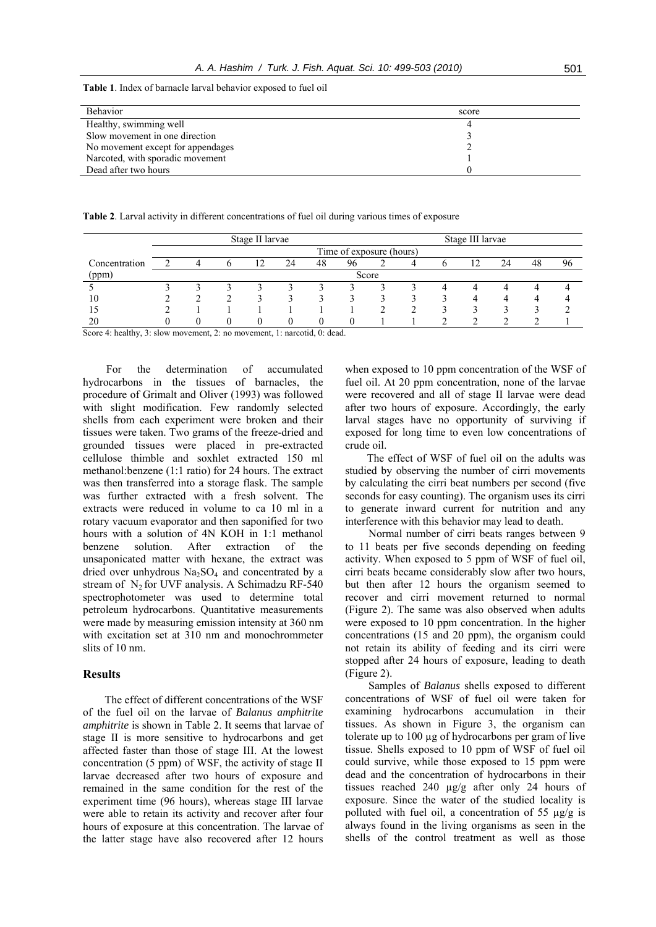**Table 1**. Index of barnacle larval behavior exposed to fuel oil

| Behavior                          | score |
|-----------------------------------|-------|
| Healthy, swimming well            |       |
| Slow movement in one direction    |       |
| No movement except for appendages |       |
| Narcoted, with sporadic movement  |       |
| Dead after two hours              |       |

**Table 2**. Larval activity in different concentrations of fuel oil during various times of exposure

|               | Stage II larvae          |  |  |    |    |    |    |  | Stage III larvae |  |    |  |    |    |  |
|---------------|--------------------------|--|--|----|----|----|----|--|------------------|--|----|--|----|----|--|
|               | Time of exposure (hours) |  |  |    |    |    |    |  |                  |  |    |  |    |    |  |
| Concentration |                          |  |  | 12 | 24 | 48 | 96 |  |                  |  | 17 |  | 48 | 96 |  |
| (ppm)         | Score                    |  |  |    |    |    |    |  |                  |  |    |  |    |    |  |
|               |                          |  |  |    |    |    |    |  |                  |  |    |  |    |    |  |
| 10            |                          |  |  |    |    |    |    |  |                  |  |    |  |    |    |  |
|               |                          |  |  |    |    |    |    |  |                  |  |    |  |    |    |  |
|               |                          |  |  |    |    |    |    |  |                  |  |    |  |    |    |  |

Score 4: healthy, 3: slow movement, 2: no movement, 1: narcotid, 0: dead.

For the determination of accumulated hydrocarbons in the tissues of barnacles, the procedure of Grimalt and Oliver (1993) was followed with slight modification. Few randomly selected shells from each experiment were broken and their tissues were taken. Two grams of the freeze-dried and grounded tissues were placed in pre-extracted cellulose thimble and soxhlet extracted 150 ml methanol:benzene (1:1 ratio) for 24 hours. The extract was then transferred into a storage flask. The sample was further extracted with a fresh solvent. The extracts were reduced in volume to ca 10 ml in a rotary vacuum evaporator and then saponified for two hours with a solution of 4N KOH in 1:1 methanol benzene solution. After extraction of the unsaponicated matter with hexane, the extract was dried over unhydrous  $Na<sub>2</sub>SO<sub>4</sub>$  and concentrated by a stream of  $N_2$  for UVF analysis. A Schimadzu RF-540 spectrophotometer was used to determine total petroleum hydrocarbons. Quantitative measurements were made by measuring emission intensity at 360 nm with excitation set at 310 nm and monochrommeter slits of 10 nm.

## **Results**

The effect of different concentrations of the WSF of the fuel oil on the larvae of *Balanus amphitrite amphitrite* is shown in Table 2. It seems that larvae of stage II is more sensitive to hydrocarbons and get affected faster than those of stage III. At the lowest concentration (5 ppm) of WSF, the activity of stage II larvae decreased after two hours of exposure and remained in the same condition for the rest of the experiment time (96 hours), whereas stage III larvae were able to retain its activity and recover after four hours of exposure at this concentration. The larvae of the latter stage have also recovered after 12 hours when exposed to 10 ppm concentration of the WSF of fuel oil. At 20 ppm concentration, none of the larvae were recovered and all of stage II larvae were dead after two hours of exposure. Accordingly, the early larval stages have no opportunity of surviving if exposed for long time to even low concentrations of crude oil.

The effect of WSF of fuel oil on the adults was studied by observing the number of cirri movements by calculating the cirri beat numbers per second (five seconds for easy counting). The organism uses its cirri to generate inward current for nutrition and any interference with this behavior may lead to death.

Normal number of cirri beats ranges between 9 to 11 beats per five seconds depending on feeding activity. When exposed to 5 ppm of WSF of fuel oil, cirri beats became considerably slow after two hours, but then after 12 hours the organism seemed to recover and cirri movement returned to normal (Figure 2). The same was also observed when adults were exposed to 10 ppm concentration. In the higher concentrations (15 and 20 ppm), the organism could not retain its ability of feeding and its cirri were stopped after 24 hours of exposure, leading to death (Figure 2).

Samples of *Balanus* shells exposed to different concentrations of WSF of fuel oil were taken for examining hydrocarbons accumulation in their tissues. As shown in Figure 3, the organism can tolerate up to 100 µg of hydrocarbons per gram of live tissue. Shells exposed to 10 ppm of WSF of fuel oil could survive, while those exposed to 15 ppm were dead and the concentration of hydrocarbons in their tissues reached 240 µg/g after only 24 hours of exposure. Since the water of the studied locality is polluted with fuel oil, a concentration of 55 µg/g is always found in the living organisms as seen in the shells of the control treatment as well as those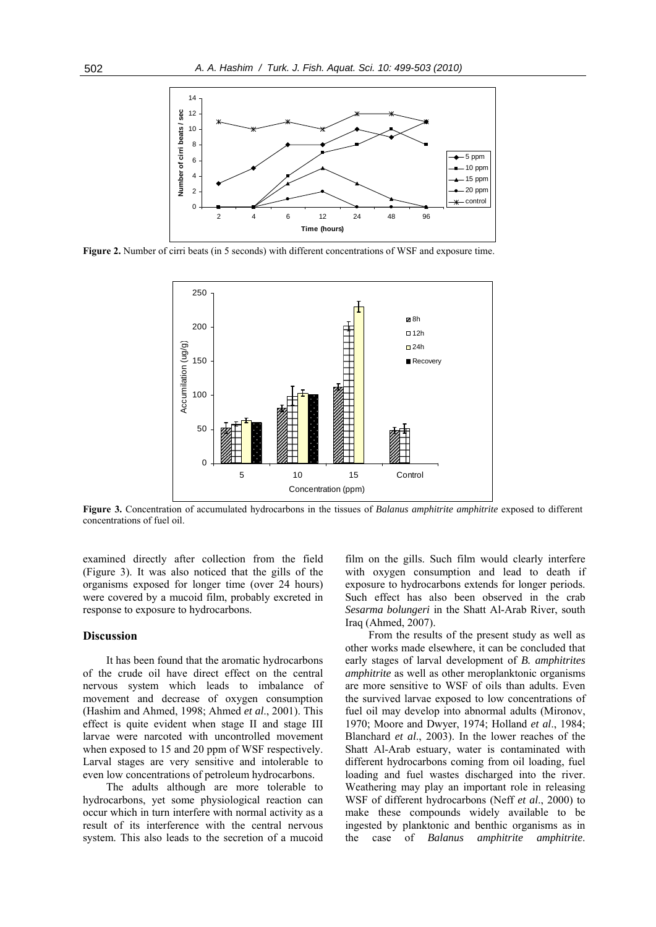

**Figure 2.** Number of cirri beats (in 5 seconds) with different concentrations of WSF and exposure time.



**Figure 3.** Concentration of accumulated hydrocarbons in the tissues of *Balanus amphitrite amphitrite* exposed to different concentrations of fuel oil.

examined directly after collection from the field (Figure 3). It was also noticed that the gills of the organisms exposed for longer time (over 24 hours) were covered by a mucoid film, probably excreted in response to exposure to hydrocarbons.

#### **Discussion**

It has been found that the aromatic hydrocarbons of the crude oil have direct effect on the central nervous system which leads to imbalance of movement and decrease of oxygen consumption (Hashim and Ahmed, 1998; Ahmed *et al*., 2001). This effect is quite evident when stage II and stage III larvae were narcoted with uncontrolled movement when exposed to 15 and 20 ppm of WSF respectively. Larval stages are very sensitive and intolerable to even low concentrations of petroleum hydrocarbons.

The adults although are more tolerable to hydrocarbons, yet some physiological reaction can occur which in turn interfere with normal activity as a result of its interference with the central nervous system. This also leads to the secretion of a mucoid film on the gills. Such film would clearly interfere with oxygen consumption and lead to death if exposure to hydrocarbons extends for longer periods. Such effect has also been observed in the crab *Sesarma bolungeri* in the Shatt Al-Arab River, south Iraq (Ahmed, 2007).

From the results of the present study as well as other works made elsewhere, it can be concluded that early stages of larval development of *B. amphitrites amphitrite* as well as other meroplanktonic organisms are more sensitive to WSF of oils than adults. Even the survived larvae exposed to low concentrations of fuel oil may develop into abnormal adults (Mironov, 1970; Moore and Dwyer, 1974; Holland *et al*., 1984; Blanchard *et al*., 2003). In the lower reaches of the Shatt Al-Arab estuary, water is contaminated with different hydrocarbons coming from oil loading, fuel loading and fuel wastes discharged into the river. Weathering may play an important role in releasing WSF of different hydrocarbons (Neff *et al*., 2000) to make these compounds widely available to be ingested by planktonic and benthic organisms as in the case of *Balanus amphitrite amphitrite*.